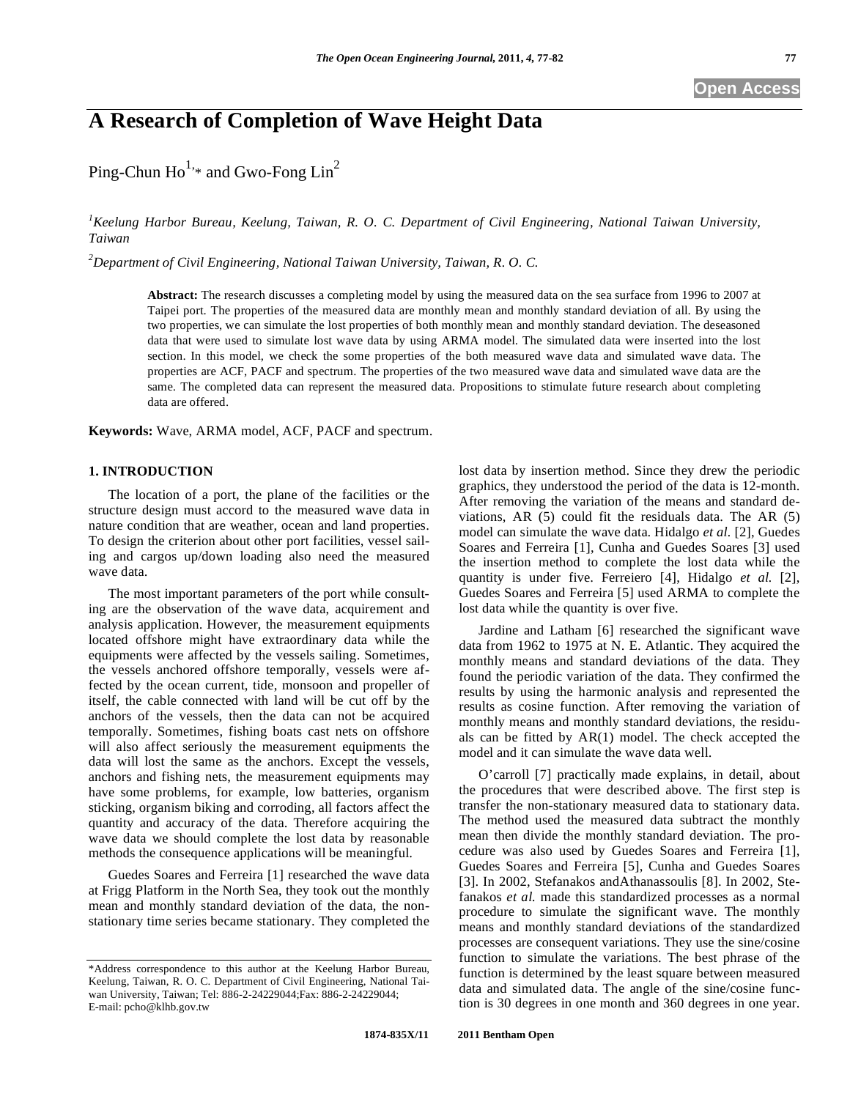# **A Research of Completion of Wave Height Data**

Ping-Chun  $Ho^{1,*}$  and Gwo-Fong  $Lin^2$ 

*1 Keelung Harbor Bureau, Keelung, Taiwan, R. O. C. Department of Civil Engineering, National Taiwan University, Taiwan* 

*2 Department of Civil Engineering, National Taiwan University, Taiwan, R. O. C.* 

**Abstract:** The research discusses a completing model by using the measured data on the sea surface from 1996 to 2007 at Taipei port. The properties of the measured data are monthly mean and monthly standard deviation of all. By using the two properties, we can simulate the lost properties of both monthly mean and monthly standard deviation. The deseasoned data that were used to simulate lost wave data by using ARMA model. The simulated data were inserted into the lost section. In this model, we check the some properties of the both measured wave data and simulated wave data. The properties are ACF, PACF and spectrum. The properties of the two measured wave data and simulated wave data are the same. The completed data can represent the measured data. Propositions to stimulate future research about completing data are offered.

**Keywords:** Wave, ARMA model, ACF, PACF and spectrum.

## **1. INTRODUCTION**

The location of a port, the plane of the facilities or the structure design must accord to the measured wave data in nature condition that are weather, ocean and land properties. To design the criterion about other port facilities, vessel sailing and cargos up/down loading also need the measured wave data.

The most important parameters of the port while consulting are the observation of the wave data, acquirement and analysis application. However, the measurement equipments located offshore might have extraordinary data while the equipments were affected by the vessels sailing. Sometimes, the vessels anchored offshore temporally, vessels were affected by the ocean current, tide, monsoon and propeller of itself, the cable connected with land will be cut off by the anchors of the vessels, then the data can not be acquired temporally. Sometimes, fishing boats cast nets on offshore will also affect seriously the measurement equipments the data will lost the same as the anchors. Except the vessels, anchors and fishing nets, the measurement equipments may have some problems, for example, low batteries, organism sticking, organism biking and corroding, all factors affect the quantity and accuracy of the data. Therefore acquiring the wave data we should complete the lost data by reasonable methods the consequence applications will be meaningful.

Guedes Soares and Ferreira [1] researched the wave data at Frigg Platform in the North Sea, they took out the monthly mean and monthly standard deviation of the data, the nonstationary time series became stationary. They completed the lost data by insertion method. Since they drew the periodic graphics, they understood the period of the data is 12-month. After removing the variation of the means and standard deviations, AR (5) could fit the residuals data. The AR (5) model can simulate the wave data. Hidalgo *et al.* [2], Guedes Soares and Ferreira [1], Cunha and Guedes Soares [3] used the insertion method to complete the lost data while the quantity is under five. Ferreiero [4], Hidalgo *et al.* [2], Guedes Soares and Ferreira [5] used ARMA to complete the lost data while the quantity is over five.

Jardine and Latham [6] researched the significant wave data from 1962 to 1975 at N. E. Atlantic. They acquired the monthly means and standard deviations of the data. They found the periodic variation of the data. They confirmed the results by using the harmonic analysis and represented the results as cosine function. After removing the variation of monthly means and monthly standard deviations, the residuals can be fitted by AR(1) model. The check accepted the model and it can simulate the wave data well.

O'carroll [7] practically made explains, in detail, about the procedures that were described above. The first step is transfer the non-stationary measured data to stationary data. The method used the measured data subtract the monthly mean then divide the monthly standard deviation. The procedure was also used by Guedes Soares and Ferreira [1], Guedes Soares and Ferreira [5], Cunha and Guedes Soares [3]. In 2002, Stefanakos andAthanassoulis [8]. In 2002, Stefanakos *et al.* made this standardized processes as a normal procedure to simulate the significant wave. The monthly means and monthly standard deviations of the standardized processes are consequent variations. They use the sine/cosine function to simulate the variations. The best phrase of the function is determined by the least square between measured data and simulated data. The angle of the sine/cosine function is 30 degrees in one month and 360 degrees in one year.

<sup>\*</sup>Address correspondence to this author at the Keelung Harbor Bureau, Keelung, Taiwan, R. O. C. Department of Civil Engineering, National Taiwan University, Taiwan; Tel: 886-2-24229044;Fax: 886-2-24229044; E-mail: pcho@klhb.gov.tw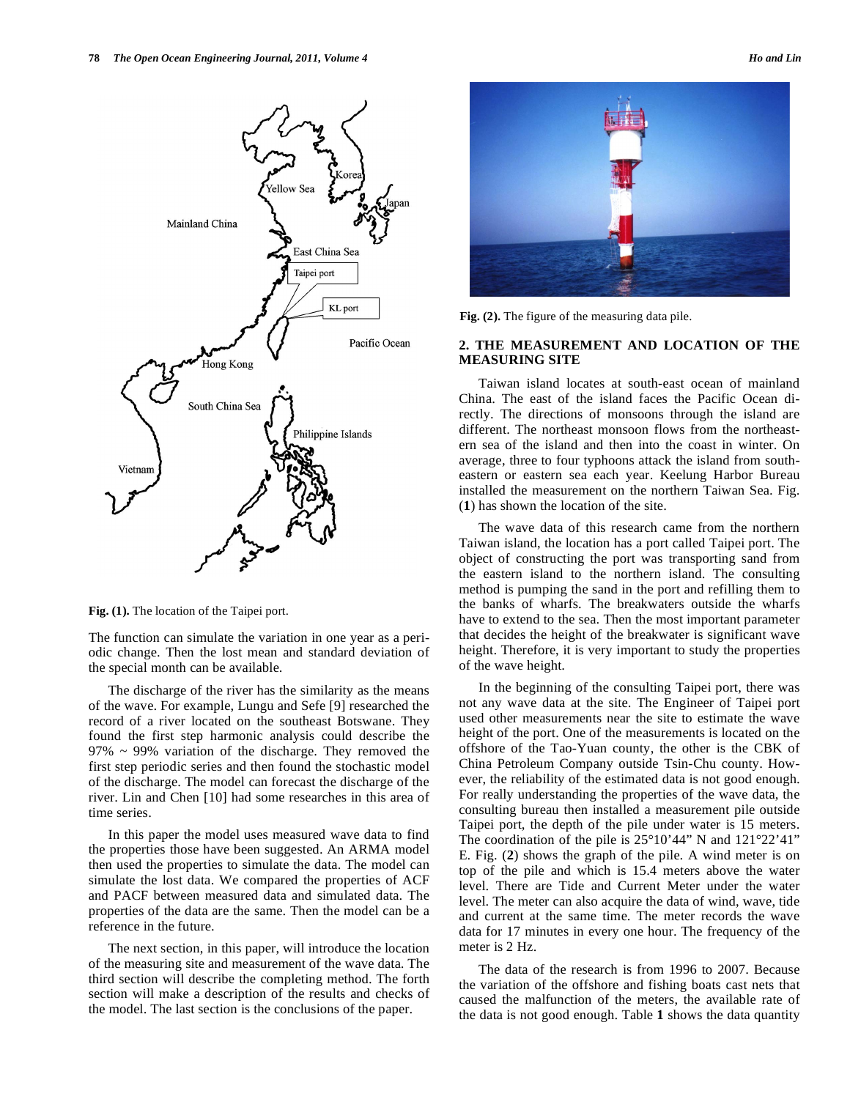

**Fig. (1).** The location of the Taipei port.

The function can simulate the variation in one year as a periodic change. Then the lost mean and standard deviation of the special month can be available.

The discharge of the river has the similarity as the means of the wave. For example, Lungu and Sefe [9] researched the record of a river located on the southeast Botswane. They found the first step harmonic analysis could describe the 97% ~ 99% variation of the discharge. They removed the first step periodic series and then found the stochastic model of the discharge. The model can forecast the discharge of the river. Lin and Chen [10] had some researches in this area of time series.

In this paper the model uses measured wave data to find the properties those have been suggested. An ARMA model then used the properties to simulate the data. The model can simulate the lost data. We compared the properties of ACF and PACF between measured data and simulated data. The properties of the data are the same. Then the model can be a reference in the future.

The next section, in this paper, will introduce the location of the measuring site and measurement of the wave data. The third section will describe the completing method. The forth section will make a description of the results and checks of the model. The last section is the conclusions of the paper.



**Fig. (2).** The figure of the measuring data pile.

## **2. THE MEASUREMENT AND LOCATION OF THE MEASURING SITE**

Taiwan island locates at south-east ocean of mainland China. The east of the island faces the Pacific Ocean directly. The directions of monsoons through the island are different. The northeast monsoon flows from the northeastern sea of the island and then into the coast in winter. On average, three to four typhoons attack the island from southeastern or eastern sea each year. Keelung Harbor Bureau installed the measurement on the northern Taiwan Sea. Fig. (**1**) has shown the location of the site.

The wave data of this research came from the northern Taiwan island, the location has a port called Taipei port. The object of constructing the port was transporting sand from the eastern island to the northern island. The consulting method is pumping the sand in the port and refilling them to the banks of wharfs. The breakwaters outside the wharfs have to extend to the sea. Then the most important parameter that decides the height of the breakwater is significant wave height. Therefore, it is very important to study the properties of the wave height.

In the beginning of the consulting Taipei port, there was not any wave data at the site. The Engineer of Taipei port used other measurements near the site to estimate the wave height of the port. One of the measurements is located on the offshore of the Tao-Yuan county, the other is the CBK of China Petroleum Company outside Tsin-Chu county. However, the reliability of the estimated data is not good enough. For really understanding the properties of the wave data, the consulting bureau then installed a measurement pile outside Taipei port, the depth of the pile under water is 15 meters. The coordination of the pile is  $25^{\circ}10'44''$  N and  $121^{\circ}22'41''$ E. Fig. (**2**) shows the graph of the pile. A wind meter is on top of the pile and which is 15.4 meters above the water level. There are Tide and Current Meter under the water level. The meter can also acquire the data of wind, wave, tide and current at the same time. The meter records the wave data for 17 minutes in every one hour. The frequency of the meter is 2 Hz.

The data of the research is from 1996 to 2007. Because the variation of the offshore and fishing boats cast nets that caused the malfunction of the meters, the available rate of the data is not good enough. Table **1** shows the data quantity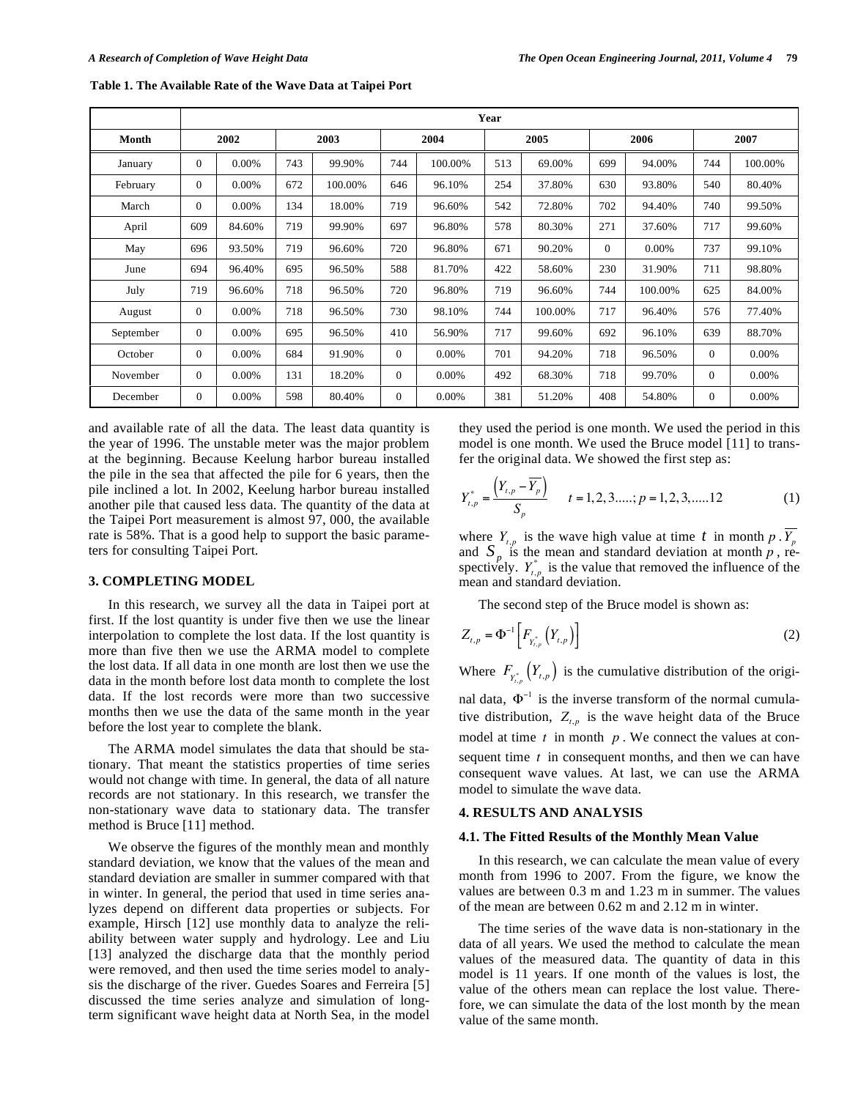|           | Year         |          |      |         |              |         |      |         |          |         |                |         |
|-----------|--------------|----------|------|---------|--------------|---------|------|---------|----------|---------|----------------|---------|
| Month     | 2002         |          | 2003 |         | 2004         |         | 2005 |         | 2006     |         | 2007           |         |
| January   | $\mathbf{0}$ | 0.00%    | 743  | 99.90%  | 744          | 100.00% | 513  | 69.00%  | 699      | 94.00%  | 744            | 100.00% |
| February  | $\Omega$     | 0.00%    | 672  | 100.00% | 646          | 96.10%  | 254  | 37.80%  | 630      | 93.80%  | 540            | 80.40%  |
| March     | $\Omega$     | $0.00\%$ | 134  | 18.00%  | 719          | 96.60%  | 542  | 72.80%  | 702      | 94.40%  | 740            | 99.50%  |
| April     | 609          | 84.60%   | 719  | 99.90%  | 697          | 96.80%  | 578  | 80.30%  | 271      | 37.60%  | 717            | 99.60%  |
| May       | 696          | 93.50%   | 719  | 96.60%  | 720          | 96.80%  | 671  | 90.20%  | $\Omega$ | 0.00%   | 737            | 99.10%  |
| June      | 694          | 96.40%   | 695  | 96.50%  | 588          | 81.70%  | 422  | 58.60%  | 230      | 31.90%  | 711            | 98.80%  |
| July      | 719          | 96.60%   | 718  | 96.50%  | 720          | 96.80%  | 719  | 96.60%  | 744      | 100.00% | 625            | 84.00%  |
| August    | $\Omega$     | $0.00\%$ | 718  | 96.50%  | 730          | 98.10%  | 744  | 100.00% | 717      | 96.40%  | 576            | 77.40%  |
| September | $\Omega$     | $0.00\%$ | 695  | 96.50%  | 410          | 56.90%  | 717  | 99.60%  | 692      | 96.10%  | 639            | 88.70%  |
| October   | $\mathbf{0}$ | 0.00%    | 684  | 91.90%  | $\mathbf{0}$ | 0.00%   | 701  | 94.20%  | 718      | 96.50%  | $\overline{0}$ | 0.00%   |
| November  | $\Omega$     | $0.00\%$ | 131  | 18.20%  | $\Omega$     | 0.00%   | 492  | 68.30%  | 718      | 99.70%  | $\Omega$       | 0.00%   |
| December  | $\mathbf{0}$ | 0.00%    | 598  | 80.40%  | $\mathbf{0}$ | 0.00%   | 381  | 51.20%  | 408      | 54.80%  | $\mathbf{0}$   | 0.00%   |

**Table 1. The Available Rate of the Wave Data at Taipei Port** 

and available rate of all the data. The least data quantity is the year of 1996. The unstable meter was the major problem at the beginning. Because Keelung harbor bureau installed the pile in the sea that affected the pile for 6 years, then the pile inclined a lot. In 2002, Keelung harbor bureau installed another pile that caused less data. The quantity of the data at the Taipei Port measurement is almost 97, 000, the available rate is 58%. That is a good help to support the basic parameters for consulting Taipei Port.

## **3. COMPLETING MODEL**

In this research, we survey all the data in Taipei port at first. If the lost quantity is under five then we use the linear interpolation to complete the lost data. If the lost quantity is more than five then we use the ARMA model to complete the lost data. If all data in one month are lost then we use the data in the month before lost data month to complete the lost data. If the lost records were more than two successive months then we use the data of the same month in the year before the lost year to complete the blank.

The ARMA model simulates the data that should be stationary. That meant the statistics properties of time series would not change with time. In general, the data of all nature records are not stationary. In this research, we transfer the non-stationary wave data to stationary data. The transfer method is Bruce [11] method.

We observe the figures of the monthly mean and monthly standard deviation, we know that the values of the mean and standard deviation are smaller in summer compared with that in winter. In general, the period that used in time series analyzes depend on different data properties or subjects. For example, Hirsch [12] use monthly data to analyze the reliability between water supply and hydrology. Lee and Liu [13] analyzed the discharge data that the monthly period were removed, and then used the time series model to analysis the discharge of the river. Guedes Soares and Ferreira [5] discussed the time series analyze and simulation of longterm significant wave height data at North Sea, in the model they used the period is one month. We used the period in this model is one month. We used the Bruce model [11] to transfer the original data. We showed the first step as:

$$
Y_{t,p}^{*} = \frac{\left(Y_{t,p} - \overline{Y_p}\right)}{S_p} \qquad t = 1, 2, 3, \dots; p = 1, 2, 3, \dots; 12 \tag{1}
$$

where  $Y_{t,p}$  is the wave high value at time t in month p.  $\overline{Y_p}$ and  $S_p$  is the mean and standard deviation at month  $p$ , respectively.  $Y_{t,p}^*$  is the value that removed the influence of the mean and standard deviation.

The second step of the Bruce model is shown as:

$$
Z_{t,p} = \Phi^{-1}\bigg[F_{Y_{t,p}^*}\left(Y_{t,p}\right)\bigg]
$$
 (2)

Where  $F_{Y_{t,p}^*}(Y_{t,p})$  is the cumulative distribution of the original data,  $\Phi^{-1}$  is the inverse transform of the normal cumulative distribution,  $Z_{t,p}$  is the wave height data of the Bruce model at time *t* in month *p*. We connect the values at consequent time *t* in consequent months, and then we can have consequent wave values. At last, we can use the ARMA model to simulate the wave data.

#### **4. RESULTS AND ANALYSIS**

#### **4.1. The Fitted Results of the Monthly Mean Value**

In this research, we can calculate the mean value of every month from 1996 to 2007. From the figure, we know the values are between 0.3 m and 1.23 m in summer. The values of the mean are between 0.62 m and 2.12 m in winter.

The time series of the wave data is non-stationary in the data of all years. We used the method to calculate the mean values of the measured data. The quantity of data in this model is 11 years. If one month of the values is lost, the value of the others mean can replace the lost value. Therefore, we can simulate the data of the lost month by the mean value of the same month.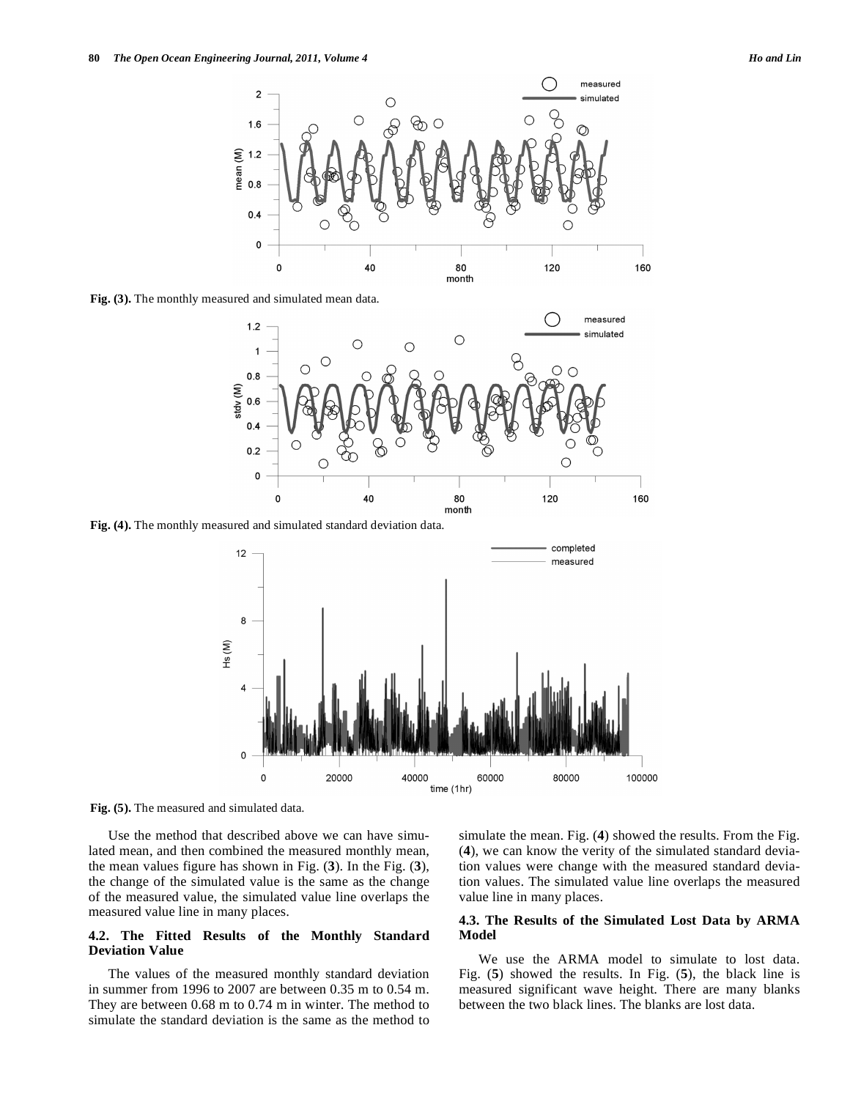

**Fig. (3).** The monthly measured and simulated mean data.



**Fig. (4).** The monthly measured and simulated standard deviation data.



**Fig. (5).** The measured and simulated data.

Use the method that described above we can have simulated mean, and then combined the measured monthly mean, the mean values figure has shown in Fig. (**3**). In the Fig. (**3**), the change of the simulated value is the same as the change of the measured value, the simulated value line overlaps the measured value line in many places.

## **4.2. The Fitted Results of the Monthly Standard Deviation Value**

The values of the measured monthly standard deviation in summer from 1996 to 2007 are between 0.35 m to 0.54 m. They are between 0.68 m to 0.74 m in winter. The method to simulate the standard deviation is the same as the method to simulate the mean. Fig. (**4**) showed the results. From the Fig. (**4**), we can know the verity of the simulated standard deviation values were change with the measured standard deviation values. The simulated value line overlaps the measured value line in many places.

# **4.3. The Results of the Simulated Lost Data by ARMA Model**

We use the ARMA model to simulate to lost data. Fig. (**5**) showed the results. In Fig. (**5**), the black line is measured significant wave height. There are many blanks between the two black lines. The blanks are lost data.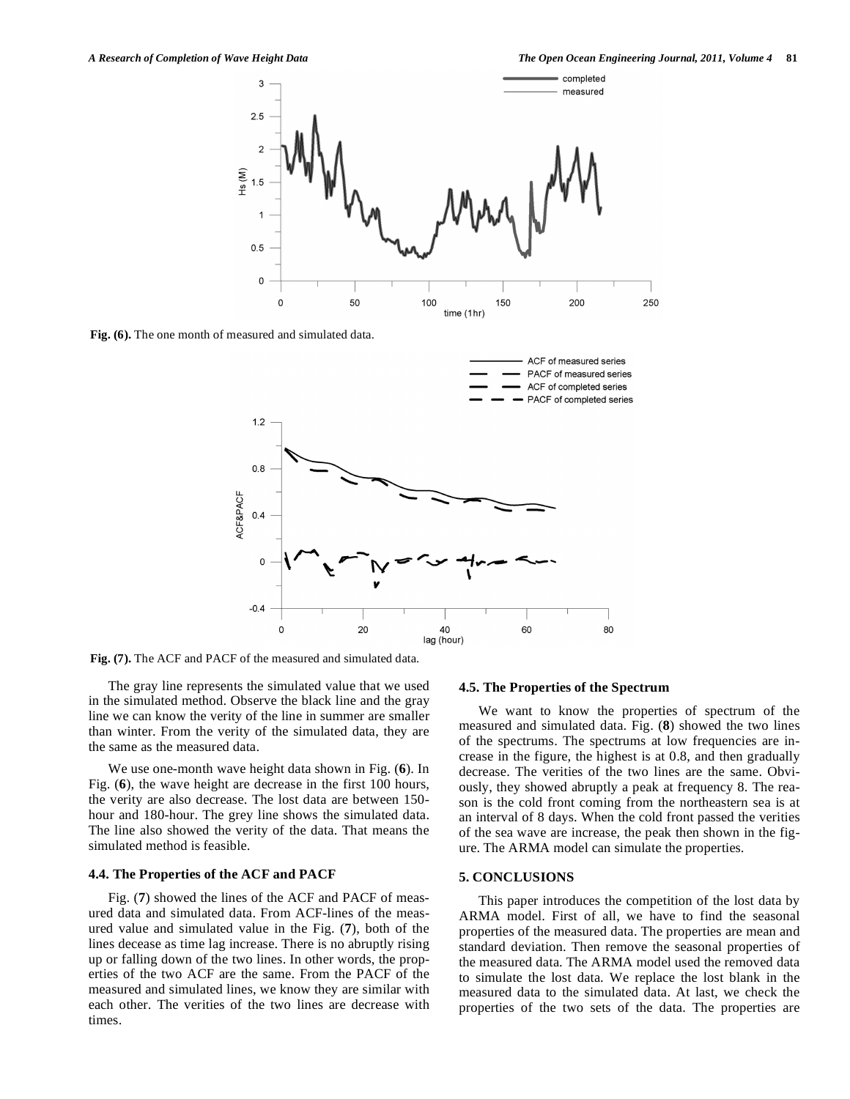

**Fig. (6).** The one month of measured and simulated data.



**Fig. (7).** The ACF and PACF of the measured and simulated data.

The gray line represents the simulated value that we used in the simulated method. Observe the black line and the gray line we can know the verity of the line in summer are smaller than winter. From the verity of the simulated data, they are the same as the measured data.

We use one-month wave height data shown in Fig. (**6**). In Fig. (**6**), the wave height are decrease in the first 100 hours, the verity are also decrease. The lost data are between 150 hour and 180-hour. The grey line shows the simulated data. The line also showed the verity of the data. That means the simulated method is feasible.

## **4.4. The Properties of the ACF and PACF**

Fig. (**7**) showed the lines of the ACF and PACF of measured data and simulated data. From ACF-lines of the measured value and simulated value in the Fig. (**7**), both of the lines decease as time lag increase. There is no abruptly rising up or falling down of the two lines. In other words, the properties of the two ACF are the same. From the PACF of the measured and simulated lines, we know they are similar with each other. The verities of the two lines are decrease with times.

## **4.5. The Properties of the Spectrum**

We want to know the properties of spectrum of the measured and simulated data. Fig. (**8**) showed the two lines of the spectrums. The spectrums at low frequencies are increase in the figure, the highest is at 0.8, and then gradually decrease. The verities of the two lines are the same. Obviously, they showed abruptly a peak at frequency 8. The reason is the cold front coming from the northeastern sea is at an interval of 8 days. When the cold front passed the verities of the sea wave are increase, the peak then shown in the figure. The ARMA model can simulate the properties.

## **5. CONCLUSIONS**

This paper introduces the competition of the lost data by ARMA model. First of all, we have to find the seasonal properties of the measured data. The properties are mean and standard deviation. Then remove the seasonal properties of the measured data. The ARMA model used the removed data to simulate the lost data. We replace the lost blank in the measured data to the simulated data. At last, we check the properties of the two sets of the data. The properties are